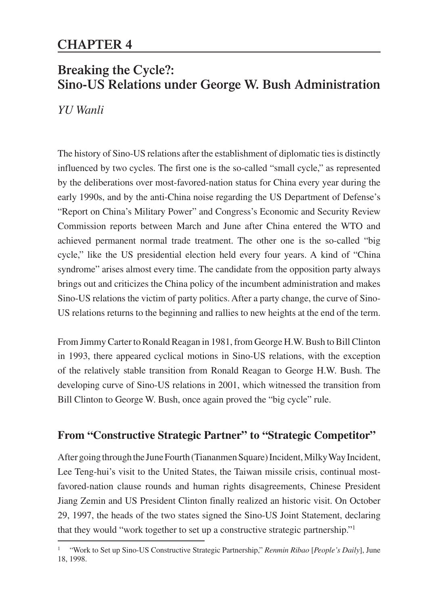# **Breaking the Cycle?: Sino-US Relations under George W. Bush Administration**

*YU Wanli*

The history of Sino-US relations after the establishment of diplomatic ties is distinctly influenced by two cycles. The first one is the so-called "small cycle," as represented by the deliberations over most-favored-nation status for China every year during the early 1990s, and by the anti-China noise regarding the US Department of Defense's "Report on China's Military Power" and Congress's Economic and Security Review Commission reports between March and June after China entered the WTO and achieved permanent normal trade treatment. The other one is the so-called "big cycle," like the US presidential election held every four years. A kind of "China syndrome" arises almost every time. The candidate from the opposition party always brings out and criticizes the China policy of the incumbent administration and makes Sino-US relations the victim of party politics. After a party change, the curve of Sino-US relations returns to the beginning and rallies to new heights at the end of the term.

From Jimmy Carter to Ronald Reagan in 1981, from George H.W. Bush to Bill Clinton in 1993, there appeared cyclical motions in Sino-US relations, with the exception of the relatively stable transition from Ronald Reagan to George H.W. Bush. The developing curve of Sino-US relations in 2001, which witnessed the transition from Bill Clinton to George W. Bush, once again proved the "big cycle" rule.

# **From "Constructive Strategic Partner" to "Strategic Competitor"**

After going through the June Fourth (Tiananmen Square) Incident, Milky Way Incident, Lee Teng-hui's visit to the United States, the Taiwan missile crisis, continual mostfavored-nation clause rounds and human rights disagreements, Chinese President Jiang Zemin and US President Clinton finally realized an historic visit. On October 29, 1997, the heads of the two states signed the Sino-US Joint Statement, declaring that they would "work together to set up a constructive strategic partnership."1

<sup>1 &</sup>quot;Work to Set up Sino-US Constructive Strategic Partnership," *Renmin Ribao* [*People's Daily*], June 18, 1998.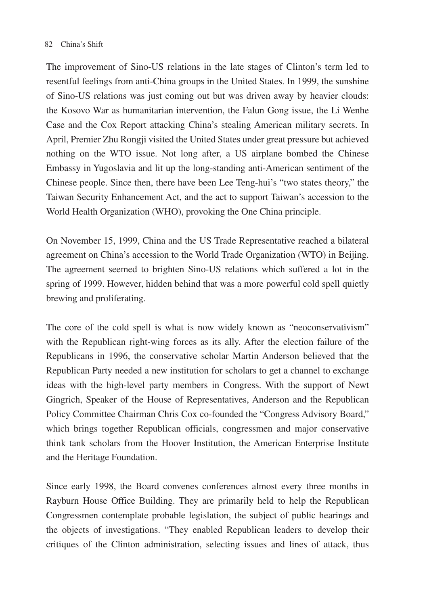The improvement of Sino-US relations in the late stages of Clinton's term led to resentful feelings from anti-China groups in the United States. In 1999, the sunshine of Sino-US relations was just coming out but was driven away by heavier clouds: the Kosovo War as humanitarian intervention, the Falun Gong issue, the Li Wenhe Case and the Cox Report attacking China's stealing American military secrets. In April, Premier Zhu Rongji visited the United States under great pressure but achieved nothing on the WTO issue. Not long after, a US airplane bombed the Chinese Embassy in Yugoslavia and lit up the long-standing anti-American sentiment of the Chinese people. Since then, there have been Lee Teng-hui's "two states theory," the Taiwan Security Enhancement Act, and the act to support Taiwan's accession to the World Health Organization (WHO), provoking the One China principle.

On November 15, 1999, China and the US Trade Representative reached a bilateral agreement on China's accession to the World Trade Organization (WTO) in Beijing. The agreement seemed to brighten Sino-US relations which suffered a lot in the spring of 1999. However, hidden behind that was a more powerful cold spell quietly brewing and proliferating.

The core of the cold spell is what is now widely known as "neoconservativism" with the Republican right-wing forces as its ally. After the election failure of the Republicans in 1996, the conservative scholar Martin Anderson believed that the Republican Party needed a new institution for scholars to get a channel to exchange ideas with the high-level party members in Congress. With the support of Newt Gingrich, Speaker of the House of Representatives, Anderson and the Republican Policy Committee Chairman Chris Cox co-founded the "Congress Advisory Board," which brings together Republican officials, congressmen and major conservative think tank scholars from the Hoover Institution, the American Enterprise Institute and the Heritage Foundation.

Since early 1998, the Board convenes conferences almost every three months in Rayburn House Office Building. They are primarily held to help the Republican Congressmen contemplate probable legislation, the subject of public hearings and the objects of investigations. "They enabled Republican leaders to develop their critiques of the Clinton administration, selecting issues and lines of attack, thus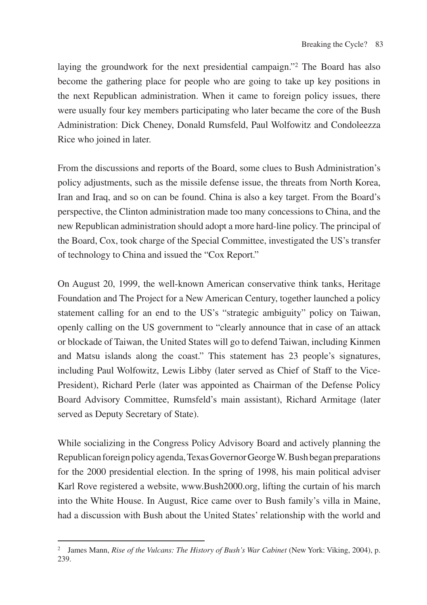laying the groundwork for the next presidential campaign."2 The Board has also become the gathering place for people who are going to take up key positions in the next Republican administration. When it came to foreign policy issues, there were usually four key members participating who later became the core of the Bush Administration: Dick Cheney, Donald Rumsfeld, Paul Wolfowitz and Condoleezza Rice who joined in later.

From the discussions and reports of the Board, some clues to Bush Administration's policy adjustments, such as the missile defense issue, the threats from North Korea, Iran and Iraq, and so on can be found. China is also a key target. From the Board's perspective, the Clinton administration made too many concessions to China, and the new Republican administration should adopt a more hard-line policy. The principal of the Board, Cox, took charge of the Special Committee, investigated the US's transfer of technology to China and issued the "Cox Report."

On August 20, 1999, the well-known American conservative think tanks, Heritage Foundation and The Project for a New American Century, together launched a policy statement calling for an end to the US's "strategic ambiguity" policy on Taiwan, openly calling on the US government to "clearly announce that in case of an attack or blockade of Taiwan, the United States will go to defend Taiwan, including Kinmen and Matsu islands along the coast." This statement has 23 people's signatures, including Paul Wolfowitz, Lewis Libby (later served as Chief of Staff to the Vice-President), Richard Perle (later was appointed as Chairman of the Defense Policy Board Advisory Committee, Rumsfeld's main assistant), Richard Armitage (later served as Deputy Secretary of State).

While socializing in the Congress Policy Advisory Board and actively planning the Republican foreign policy agenda, Texas Governor George W. Bush began preparations for the 2000 presidential election. In the spring of 1998, his main political adviser Karl Rove registered a website, www.Bush2000.org, lifting the curtain of his march into the White House. In August, Rice came over to Bush family's villa in Maine, had a discussion with Bush about the United States' relationship with the world and

<sup>2</sup> James Mann, *Rise of the Vulcans: The History of Bush's War Cabinet* (New York: Viking, 2004), p. 239.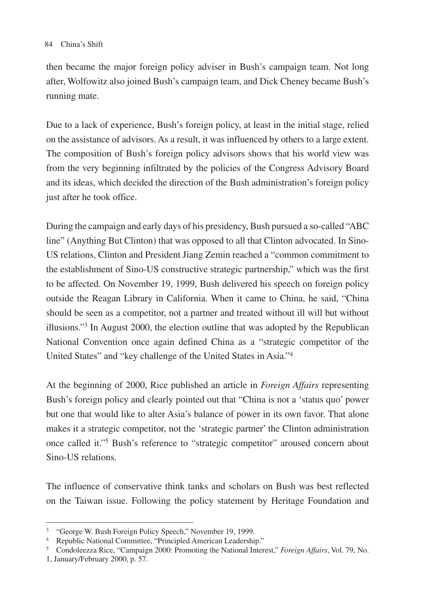then became the major foreign policy adviser in Bush's campaign team. Not long after, Wolfowitz also joined Bush's campaign team, and Dick Cheney became Bush's running mate.

Due to a lack of experience, Bush's foreign policy, at least in the initial stage, relied on the assistance of advisors. As a result, it was influenced by others to a large extent. The composition of Bush's foreign policy advisors shows that his world view was from the very beginning infiltrated by the policies of the Congress Advisory Board and its ideas, which decided the direction of the Bush administration's foreign policy just after he took office.

During the campaign and early days of his presidency, Bush pursued a so-called "ABC line" (Anything But Clinton) that was opposed to all that Clinton advocated. In Sino-US relations, Clinton and President Jiang Zemin reached a "common commitment to the establishment of Sino-US constructive strategic partnership," which was the first to be affected. On November 19, 1999, Bush delivered his speech on foreign policy outside the Reagan Library in California. When it came to China, he said, "China should be seen as a competitor, not a partner and treated without ill will but without illusions."3 In August 2000, the election outline that was adopted by the Republican National Convention once again defined China as a "strategic competitor of the United States" and "key challenge of the United States in Asia."4

At the beginning of 2000, Rice published an article in *Foreign Affairs* representing Bush's foreign policy and clearly pointed out that "China is not a 'status quo' power but one that would like to alter Asia's balance of power in its own favor. That alone makes it a strategic competitor, not the 'strategic partner' the Clinton administration once called it."5 Bush's reference to "strategic competitor" aroused concern about Sino-US relations.

The influence of conservative think tanks and scholars on Bush was best reflected on the Taiwan issue. Following the policy statement by Heritage Foundation and

<sup>3</sup> "George W. Bush Foreign Policy Speech," November 19, 1999.

<sup>4</sup> Republic National Committee, "Principled American Leadership."

<sup>5</sup> Condoleezza Rice, "Campaign 2000: Promoting the National Interest," *Foreign Affairs*, Vol. 79, No. 1, January/February 2000, p. 57.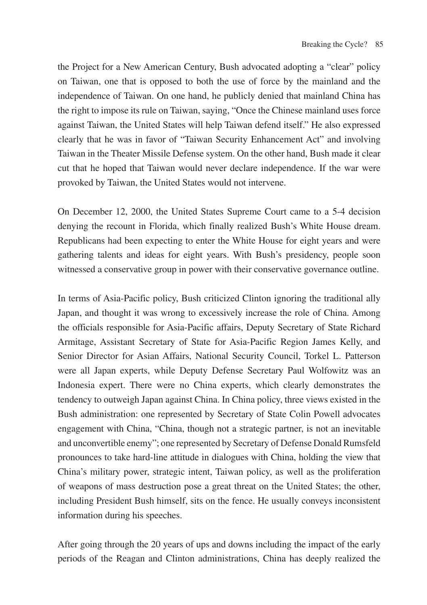the Project for a New American Century, Bush advocated adopting a "clear" policy on Taiwan, one that is opposed to both the use of force by the mainland and the independence of Taiwan. On one hand, he publicly denied that mainland China has the right to impose its rule on Taiwan, saying, "Once the Chinese mainland uses force against Taiwan, the United States will help Taiwan defend itself." He also expressed clearly that he was in favor of "Taiwan Security Enhancement Act" and involving Taiwan in the Theater Missile Defense system. On the other hand, Bush made it clear cut that he hoped that Taiwan would never declare independence. If the war were provoked by Taiwan, the United States would not intervene.

On December 12, 2000, the United States Supreme Court came to a 5-4 decision denying the recount in Florida, which finally realized Bush's White House dream. Republicans had been expecting to enter the White House for eight years and were gathering talents and ideas for eight years. With Bush's presidency, people soon witnessed a conservative group in power with their conservative governance outline.

In terms of Asia-Pacific policy, Bush criticized Clinton ignoring the traditional ally Japan, and thought it was wrong to excessively increase the role of China. Among the officials responsible for Asia-Pacific affairs, Deputy Secretary of State Richard Armitage, Assistant Secretary of State for Asia-Pacific Region James Kelly, and Senior Director for Asian Affairs, National Security Council, Torkel L. Patterson were all Japan experts, while Deputy Defense Secretary Paul Wolfowitz was an Indonesia expert. There were no China experts, which clearly demonstrates the tendency to outweigh Japan against China. In China policy, three views existed in the Bush administration: one represented by Secretary of State Colin Powell advocates engagement with China, "China, though not a strategic partner, is not an inevitable and unconvertible enemy"; one represented by Secretary of Defense Donald Rumsfeld pronounces to take hard-line attitude in dialogues with China, holding the view that China's military power, strategic intent, Taiwan policy, as well as the proliferation of weapons of mass destruction pose a great threat on the United States; the other, including President Bush himself, sits on the fence. He usually conveys inconsistent information during his speeches.

After going through the 20 years of ups and downs including the impact of the early periods of the Reagan and Clinton administrations, China has deeply realized the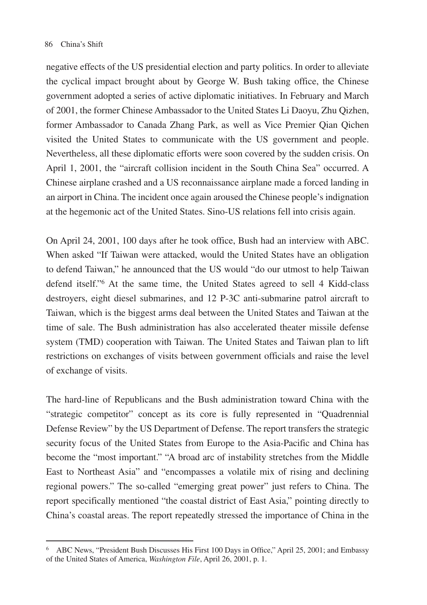negative effects of the US presidential election and party politics. In order to alleviate the cyclical impact brought about by George W. Bush taking office, the Chinese government adopted a series of active diplomatic initiatives. In February and March of 2001, the former Chinese Ambassador to the United States Li Daoyu, Zhu Qizhen, former Ambassador to Canada Zhang Park, as well as Vice Premier Qian Qichen visited the United States to communicate with the US government and people. Nevertheless, all these diplomatic efforts were soon covered by the sudden crisis. On April 1, 2001, the "aircraft collision incident in the South China Sea" occurred. A Chinese airplane crashed and a US reconnaissance airplane made a forced landing in an airport in China. The incident once again aroused the Chinese people's indignation at the hegemonic act of the United States. Sino-US relations fell into crisis again.

On April 24, 2001, 100 days after he took office, Bush had an interview with ABC. When asked "If Taiwan were attacked, would the United States have an obligation to defend Taiwan," he announced that the US would "do our utmost to help Taiwan defend itself."6 At the same time, the United States agreed to sell 4 Kidd-class destroyers, eight diesel submarines, and 12 P-3C anti-submarine patrol aircraft to Taiwan, which is the biggest arms deal between the United States and Taiwan at the time of sale. The Bush administration has also accelerated theater missile defense system (TMD) cooperation with Taiwan. The United States and Taiwan plan to lift restrictions on exchanges of visits between government officials and raise the level of exchange of visits.

The hard-line of Republicans and the Bush administration toward China with the "strategic competitor" concept as its core is fully represented in "Quadrennial Defense Review" by the US Department of Defense. The report transfers the strategic security focus of the United States from Europe to the Asia-Pacific and China has become the "most important." "A broad arc of instability stretches from the Middle East to Northeast Asia" and "encompasses a volatile mix of rising and declining regional powers." The so-called "emerging great power" just refers to China. The report specifically mentioned "the coastal district of East Asia," pointing directly to China's coastal areas. The report repeatedly stressed the importance of China in the

<sup>6</sup> ABC News, "President Bush Discusses His First 100 Days in Office," April 25, 2001; and Embassy of the United States of America, *Washington File*, April 26, 2001, p. 1.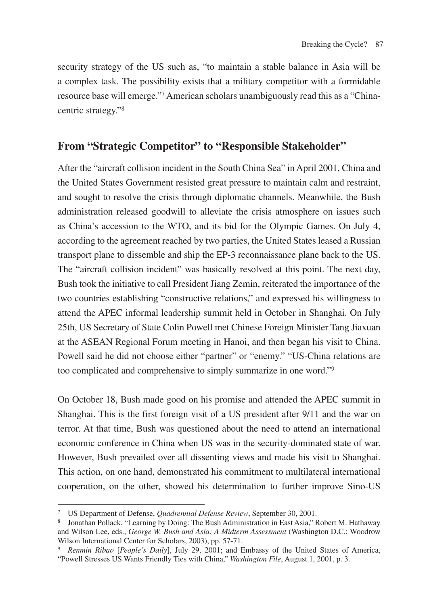security strategy of the US such as, "to maintain a stable balance in Asia will be a complex task. The possibility exists that a military competitor with a formidable resource base will emerge."7 American scholars unambiguously read this as a "Chinacentric strategy."8

# **From "Strategic Competitor" to "Responsible Stakeholder"**

After the "aircraft collision incident in the South China Sea" in April 2001, China and the United States Government resisted great pressure to maintain calm and restraint, and sought to resolve the crisis through diplomatic channels. Meanwhile, the Bush administration released goodwill to alleviate the crisis atmosphere on issues such as China's accession to the WTO, and its bid for the Olympic Games. On July 4, according to the agreement reached by two parties, the United States leased a Russian transport plane to dissemble and ship the EP-3 reconnaissance plane back to the US. The "aircraft collision incident" was basically resolved at this point. The next day, Bush took the initiative to call President Jiang Zemin, reiterated the importance of the two countries establishing "constructive relations," and expressed his willingness to attend the APEC informal leadership summit held in October in Shanghai. On July 25th, US Secretary of State Colin Powell met Chinese Foreign Minister Tang Jiaxuan at the ASEAN Regional Forum meeting in Hanoi, and then began his visit to China. Powell said he did not choose either "partner" or "enemy." "US-China relations are too complicated and comprehensive to simply summarize in one word."9

On October 18, Bush made good on his promise and attended the APEC summit in Shanghai. This is the first foreign visit of a US president after 9/11 and the war on terror. At that time, Bush was questioned about the need to attend an international economic conference in China when US was in the security-dominated state of war. However, Bush prevailed over all dissenting views and made his visit to Shanghai. This action, on one hand, demonstrated his commitment to multilateral international cooperation, on the other, showed his determination to further improve Sino-US

<sup>&</sup>lt;sup>7</sup> US Department of Defense, *Quadrennial Defense Review*, September 30, 2001.<br><sup>8</sup> Jonathan Pollack, "Learning by Doing: The Bush Administration in East Asia," Robert M. Hathaway and Wilson Lee, eds., *George W. Bush and Asia: A Midterm Assessment* (Washington D.C.: Woodrow Wilson International Center for Scholars, 2003), pp. 57-71.

<sup>9</sup> *Renmin Ribao* [*People's Daily*], July 29, 2001; and Embassy of the United States of America, "Powell Stresses US Wants Friendly Ties with China," *Washington File*, August 1, 2001, p. 3.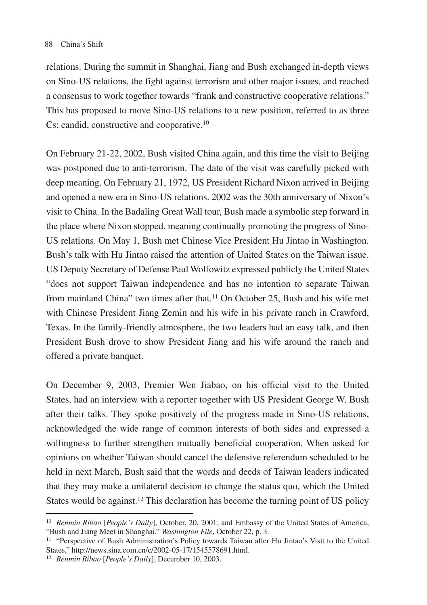relations. During the summit in Shanghai, Jiang and Bush exchanged in-depth views on Sino-US relations, the fight against terrorism and other major issues, and reached a consensus to work together towards "frank and constructive cooperative relations." This has proposed to move Sino-US relations to a new position, referred to as three Cs; candid, constructive and cooperative.10

On February 21-22, 2002, Bush visited China again, and this time the visit to Beijing was postponed due to anti-terrorism. The date of the visit was carefully picked with deep meaning. On February 21, 1972, US President Richard Nixon arrived in Beijing and opened a new era in Sino-US relations. 2002 was the 30th anniversary of Nixon's visit to China. In the Badaling Great Wall tour, Bush made a symbolic step forward in the place where Nixon stopped, meaning continually promoting the progress of Sino-US relations. On May 1, Bush met Chinese Vice President Hu Jintao in Washington. Bush's talk with Hu Jintao raised the attention of United States on the Taiwan issue. US Deputy Secretary of Defense Paul Wolfowitz expressed publicly the United States "does not support Taiwan independence and has no intention to separate Taiwan from mainland China" two times after that.11 On October 25, Bush and his wife met with Chinese President Jiang Zemin and his wife in his private ranch in Crawford, Texas. In the family-friendly atmosphere, the two leaders had an easy talk, and then President Bush drove to show President Jiang and his wife around the ranch and offered a private banquet.

On December 9, 2003, Premier Wen Jiabao, on his official visit to the United States, had an interview with a reporter together with US President George W. Bush after their talks. They spoke positively of the progress made in Sino-US relations, acknowledged the wide range of common interests of both sides and expressed a willingness to further strengthen mutually beneficial cooperation. When asked for opinions on whether Taiwan should cancel the defensive referendum scheduled to be held in next March, Bush said that the words and deeds of Taiwan leaders indicated that they may make a unilateral decision to change the status quo, which the United States would be against.<sup>12</sup> This declaration has become the turning point of US policy

<sup>10</sup> *Renmin Ribao* [*People's Daily*], October, 20, 2001; and Embassy of the United States of America, "Bush and Jiang Meet in Shanghai," *Washington File*, October 22, p. 3.

<sup>11</sup> "Perspective of Bush Administration's Policy towards Taiwan after Hu Jintao's Visit to the United States," http://news.sina.com.cn/c/2002-05-17/1545578691.html.

<sup>12</sup> *Renmin Ribao* [*People's Daily*], December 10, 2003.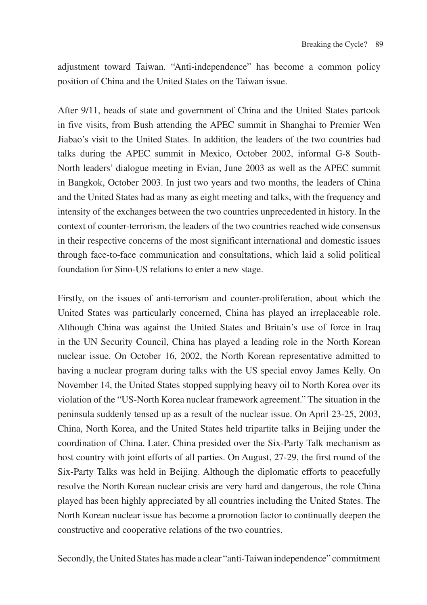adjustment toward Taiwan. "Anti-independence" has become a common policy position of China and the United States on the Taiwan issue.

After 9/11, heads of state and government of China and the United States partook in five visits, from Bush attending the APEC summit in Shanghai to Premier Wen Jiabao's visit to the United States. In addition, the leaders of the two countries had talks during the APEC summit in Mexico, October 2002, informal G-8 South-North leaders' dialogue meeting in Evian, June 2003 as well as the APEC summit in Bangkok, October 2003. In just two years and two months, the leaders of China and the United States had as many as eight meeting and talks, with the frequency and intensity of the exchanges between the two countries unprecedented in history. In the context of counter-terrorism, the leaders of the two countries reached wide consensus in their respective concerns of the most significant international and domestic issues through face-to-face communication and consultations, which laid a solid political foundation for Sino-US relations to enter a new stage.

Firstly, on the issues of anti-terrorism and counter-proliferation, about which the United States was particularly concerned, China has played an irreplaceable role. Although China was against the United States and Britain's use of force in Iraq in the UN Security Council, China has played a leading role in the North Korean nuclear issue. On October 16, 2002, the North Korean representative admitted to having a nuclear program during talks with the US special envoy James Kelly. On November 14, the United States stopped supplying heavy oil to North Korea over its violation of the "US-North Korea nuclear framework agreement." The situation in the peninsula suddenly tensed up as a result of the nuclear issue. On April 23-25, 2003, China, North Korea, and the United States held tripartite talks in Beijing under the coordination of China. Later, China presided over the Six-Party Talk mechanism as host country with joint efforts of all parties. On August, 27-29, the first round of the Six-Party Talks was held in Beijing. Although the diplomatic efforts to peacefully resolve the North Korean nuclear crisis are very hard and dangerous, the role China played has been highly appreciated by all countries including the United States. The North Korean nuclear issue has become a promotion factor to continually deepen the constructive and cooperative relations of the two countries.

Secondly, the United States has made a clear "anti-Taiwan independence" commitment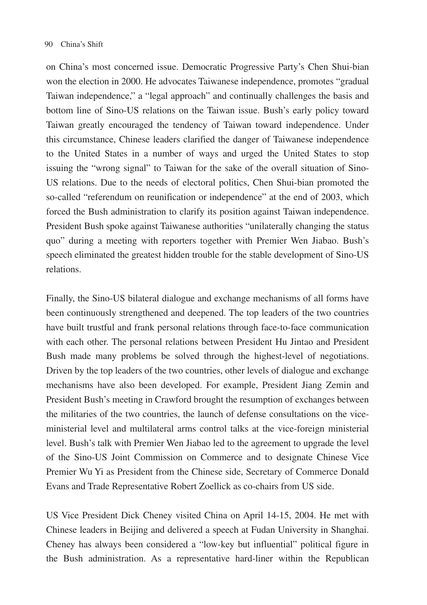on China's most concerned issue. Democratic Progressive Party's Chen Shui-bian won the election in 2000. He advocates Taiwanese independence, promotes "gradual Taiwan independence," a "legal approach" and continually challenges the basis and bottom line of Sino-US relations on the Taiwan issue. Bush's early policy toward Taiwan greatly encouraged the tendency of Taiwan toward independence. Under this circumstance, Chinese leaders clarified the danger of Taiwanese independence to the United States in a number of ways and urged the United States to stop issuing the "wrong signal" to Taiwan for the sake of the overall situation of Sino-US relations. Due to the needs of electoral politics, Chen Shui-bian promoted the so-called "referendum on reunification or independence" at the end of 2003, which forced the Bush administration to clarify its position against Taiwan independence. President Bush spoke against Taiwanese authorities "unilaterally changing the status quo" during a meeting with reporters together with Premier Wen Jiabao. Bush's speech eliminated the greatest hidden trouble for the stable development of Sino-US relations.

Finally, the Sino-US bilateral dialogue and exchange mechanisms of all forms have been continuously strengthened and deepened. The top leaders of the two countries have built trustful and frank personal relations through face-to-face communication with each other. The personal relations between President Hu Jintao and President Bush made many problems be solved through the highest-level of negotiations. Driven by the top leaders of the two countries, other levels of dialogue and exchange mechanisms have also been developed. For example, President Jiang Zemin and President Bush's meeting in Crawford brought the resumption of exchanges between the militaries of the two countries, the launch of defense consultations on the viceministerial level and multilateral arms control talks at the vice-foreign ministerial level. Bush's talk with Premier Wen Jiabao led to the agreement to upgrade the level of the Sino-US Joint Commission on Commerce and to designate Chinese Vice Premier Wu Yi as President from the Chinese side, Secretary of Commerce Donald Evans and Trade Representative Robert Zoellick as co-chairs from US side.

US Vice President Dick Cheney visited China on April 14-15, 2004. He met with Chinese leaders in Beijing and delivered a speech at Fudan University in Shanghai. Cheney has always been considered a "low-key but influential" political figure in the Bush administration. As a representative hard-liner within the Republican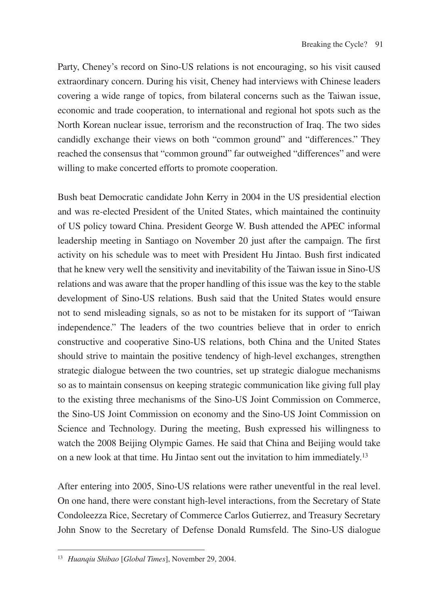Party, Cheney's record on Sino-US relations is not encouraging, so his visit caused extraordinary concern. During his visit, Cheney had interviews with Chinese leaders covering a wide range of topics, from bilateral concerns such as the Taiwan issue, economic and trade cooperation, to international and regional hot spots such as the North Korean nuclear issue, terrorism and the reconstruction of Iraq. The two sides candidly exchange their views on both "common ground" and "differences." They reached the consensus that "common ground" far outweighed "differences" and were willing to make concerted efforts to promote cooperation.

Bush beat Democratic candidate John Kerry in 2004 in the US presidential election and was re-elected President of the United States, which maintained the continuity of US policy toward China. President George W. Bush attended the APEC informal leadership meeting in Santiago on November 20 just after the campaign. The first activity on his schedule was to meet with President Hu Jintao. Bush first indicated that he knew very well the sensitivity and inevitability of the Taiwan issue in Sino-US relations and was aware that the proper handling of this issue was the key to the stable development of Sino-US relations. Bush said that the United States would ensure not to send misleading signals, so as not to be mistaken for its support of "Taiwan independence." The leaders of the two countries believe that in order to enrich constructive and cooperative Sino-US relations, both China and the United States should strive to maintain the positive tendency of high-level exchanges, strengthen strategic dialogue between the two countries, set up strategic dialogue mechanisms so as to maintain consensus on keeping strategic communication like giving full play to the existing three mechanisms of the Sino-US Joint Commission on Commerce, the Sino-US Joint Commission on economy and the Sino-US Joint Commission on Science and Technology. During the meeting, Bush expressed his willingness to watch the 2008 Beijing Olympic Games. He said that China and Beijing would take on a new look at that time. Hu Jintao sent out the invitation to him immediately.13

After entering into 2005, Sino-US relations were rather uneventful in the real level. On one hand, there were constant high-level interactions, from the Secretary of State Condoleezza Rice, Secretary of Commerce Carlos Gutierrez, and Treasury Secretary John Snow to the Secretary of Defense Donald Rumsfeld. The Sino-US dialogue

<sup>13</sup> *Huanqiu Shibao* [*Global Times*], November 29, 2004.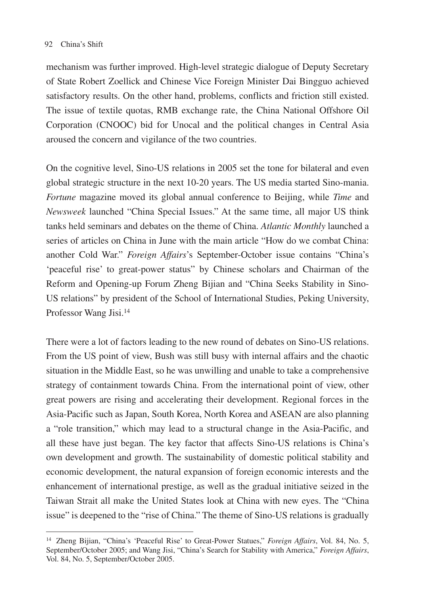mechanism was further improved. High-level strategic dialogue of Deputy Secretary of State Robert Zoellick and Chinese Vice Foreign Minister Dai Bingguo achieved satisfactory results. On the other hand, problems, conflicts and friction still existed. The issue of textile quotas, RMB exchange rate, the China National Offshore Oil Corporation (CNOOC) bid for Unocal and the political changes in Central Asia aroused the concern and vigilance of the two countries.

On the cognitive level, Sino-US relations in 2005 set the tone for bilateral and even global strategic structure in the next 10-20 years. The US media started Sino-mania. *Fortune* magazine moved its global annual conference to Beijing, while *Time* and *Newsweek* launched "China Special Issues." At the same time, all major US think tanks held seminars and debates on the theme of China. *Atlantic Monthly* launched a series of articles on China in June with the main article "How do we combat China: another Cold War." *Foreign Affairs*'s September-October issue contains "China's 'peaceful rise' to great-power status" by Chinese scholars and Chairman of the Reform and Opening-up Forum Zheng Bijian and "China Seeks Stability in Sino-US relations" by president of the School of International Studies, Peking University, Professor Wang Jisi.14

There were a lot of factors leading to the new round of debates on Sino-US relations. From the US point of view, Bush was still busy with internal affairs and the chaotic situation in the Middle East, so he was unwilling and unable to take a comprehensive strategy of containment towards China. From the international point of view, other great powers are rising and accelerating their development. Regional forces in the Asia-Pacific such as Japan, South Korea, North Korea and ASEAN are also planning a "role transition," which may lead to a structural change in the Asia-Pacific, and all these have just began. The key factor that affects Sino-US relations is China's own development and growth. The sustainability of domestic political stability and economic development, the natural expansion of foreign economic interests and the enhancement of international prestige, as well as the gradual initiative seized in the Taiwan Strait all make the United States look at China with new eyes. The "China issue" is deepened to the "rise of China." The theme of Sino-US relations is gradually

<sup>14</sup> Zheng Bijian, "China's 'Peaceful Rise' to Great-Power Statues," *Foreign Affairs*, Vol. 84, No. 5, September/October 2005; and Wang Jisi, "China's Search for Stability with America," *Foreign Affairs*, Vol. 84, No. 5, September/October 2005.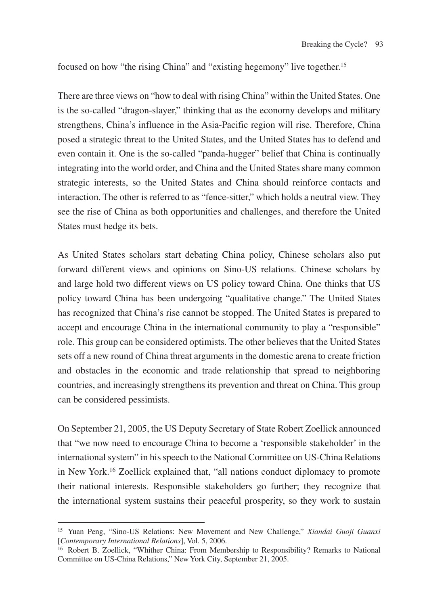focused on how "the rising China" and "existing hegemony" live together.15

There are three views on "how to deal with rising China" within the United States. One is the so-called "dragon-slayer," thinking that as the economy develops and military strengthens, China's influence in the Asia-Pacific region will rise. Therefore, China posed a strategic threat to the United States, and the United States has to defend and even contain it. One is the so-called "panda-hugger" belief that China is continually integrating into the world order, and China and the United States share many common strategic interests, so the United States and China should reinforce contacts and interaction. The other is referred to as "fence-sitter," which holds a neutral view. They see the rise of China as both opportunities and challenges, and therefore the United States must hedge its bets.

As United States scholars start debating China policy, Chinese scholars also put forward different views and opinions on Sino-US relations. Chinese scholars by and large hold two different views on US policy toward China. One thinks that US policy toward China has been undergoing "qualitative change." The United States has recognized that China's rise cannot be stopped. The United States is prepared to accept and encourage China in the international community to play a "responsible" role. This group can be considered optimists. The other believes that the United States sets off a new round of China threat arguments in the domestic arena to create friction and obstacles in the economic and trade relationship that spread to neighboring countries, and increasingly strengthens its prevention and threat on China. This group can be considered pessimists.

On September 21, 2005, the US Deputy Secretary of State Robert Zoellick announced that "we now need to encourage China to become a 'responsible stakeholder' in the international system" in his speech to the National Committee on US-China Relations in New York.16 Zoellick explained that, "all nations conduct diplomacy to promote their national interests. Responsible stakeholders go further; they recognize that the international system sustains their peaceful prosperity, so they work to sustain

<sup>15</sup> Yuan Peng, "Sino-US Relations: New Movement and New Challenge," *Xiandai Guoji Guanxi* [*Contemporary International Relations*], Vol. 5, 2006.

<sup>&</sup>lt;sup>16</sup> Robert B. Zoellick, "Whither China: From Membership to Responsibility? Remarks to National Committee on US-China Relations," New York City, September 21, 2005.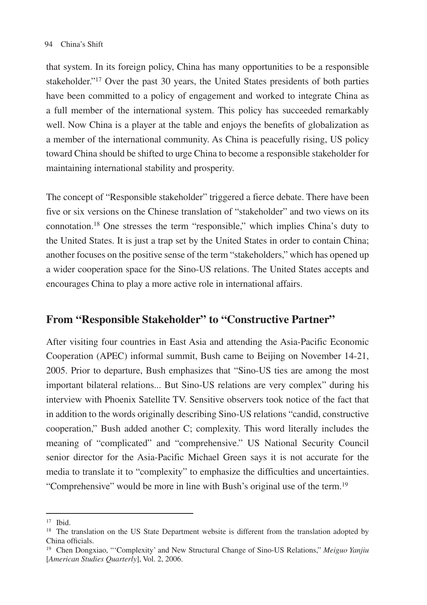that system. In its foreign policy, China has many opportunities to be a responsible stakeholder."17 Over the past 30 years, the United States presidents of both parties have been committed to a policy of engagement and worked to integrate China as a full member of the international system. This policy has succeeded remarkably well. Now China is a player at the table and enjoys the benefits of globalization as a member of the international community. As China is peacefully rising, US policy toward China should be shifted to urge China to become a responsible stakeholder for maintaining international stability and prosperity.

The concept of "Responsible stakeholder" triggered a fierce debate. There have been five or six versions on the Chinese translation of "stakeholder" and two views on its connotation.18 One stresses the term "responsible," which implies China's duty to the United States. It is just a trap set by the United States in order to contain China; another focuses on the positive sense of the term "stakeholders," which has opened up a wider cooperation space for the Sino-US relations. The United States accepts and encourages China to play a more active role in international affairs.

### **From "Responsible Stakeholder" to "Constructive Partner"**

After visiting four countries in East Asia and attending the Asia-Pacific Economic Cooperation (APEC) informal summit, Bush came to Beijing on November 14-21, 2005. Prior to departure, Bush emphasizes that "Sino-US ties are among the most important bilateral relations... But Sino-US relations are very complex" during his interview with Phoenix Satellite TV. Sensitive observers took notice of the fact that in addition to the words originally describing Sino-US relations "candid, constructive cooperation," Bush added another C; complexity. This word literally includes the meaning of "complicated" and "comprehensive." US National Security Council senior director for the Asia-Pacific Michael Green says it is not accurate for the media to translate it to "complexity" to emphasize the difficulties and uncertainties. "Comprehensive" would be more in line with Bush's original use of the term.19

 $17$  Ibid.

<sup>&</sup>lt;sup>18</sup> The translation on the US State Department website is different from the translation adopted by China officials.

<sup>19</sup> Chen Dongxiao, "'Complexity' and New Structural Change of Sino-US Relations," *Meiguo Yanjiu* [*American Studies Quarterly*], Vol. 2, 2006.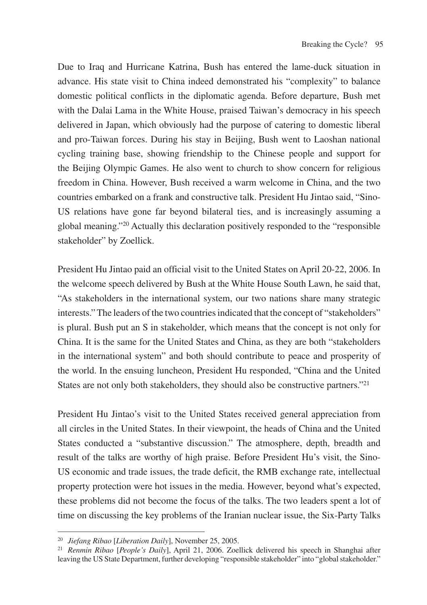Due to Iraq and Hurricane Katrina, Bush has entered the lame-duck situation in advance. His state visit to China indeed demonstrated his "complexity" to balance domestic political conflicts in the diplomatic agenda. Before departure, Bush met with the Dalai Lama in the White House, praised Taiwan's democracy in his speech delivered in Japan, which obviously had the purpose of catering to domestic liberal and pro-Taiwan forces. During his stay in Beijing, Bush went to Laoshan national cycling training base, showing friendship to the Chinese people and support for the Beijing Olympic Games. He also went to church to show concern for religious freedom in China. However, Bush received a warm welcome in China, and the two countries embarked on a frank and constructive talk. President Hu Jintao said, "Sino-US relations have gone far beyond bilateral ties, and is increasingly assuming a global meaning."20 Actually this declaration positively responded to the "responsible stakeholder" by Zoellick.

President Hu Jintao paid an official visit to the United States on April 20-22, 2006. In the welcome speech delivered by Bush at the White House South Lawn, he said that, "As stakeholders in the international system, our two nations share many strategic interests." The leaders of the two countries indicated that the concept of "stakeholders" is plural. Bush put an S in stakeholder, which means that the concept is not only for China. It is the same for the United States and China, as they are both "stakeholders in the international system" and both should contribute to peace and prosperity of the world. In the ensuing luncheon, President Hu responded, "China and the United States are not only both stakeholders, they should also be constructive partners."21

President Hu Jintao's visit to the United States received general appreciation from all circles in the United States. In their viewpoint, the heads of China and the United States conducted a "substantive discussion." The atmosphere, depth, breadth and result of the talks are worthy of high praise. Before President Hu's visit, the Sino-US economic and trade issues, the trade deficit, the RMB exchange rate, intellectual property protection were hot issues in the media. However, beyond what's expected, these problems did not become the focus of the talks. The two leaders spent a lot of time on discussing the key problems of the Iranian nuclear issue, the Six-Party Talks

<sup>&</sup>lt;sup>20</sup> *Jiefang Ribao* [*Liberation Daily*], November 25, 2005.<br><sup>21</sup> *Renmin Ribao* [*People's Daily*], April 21, 2006. Zoellick delivered his speech in Shanghai after leaving the US State Department, further developing "responsible stakeholder" into "global stakeholder."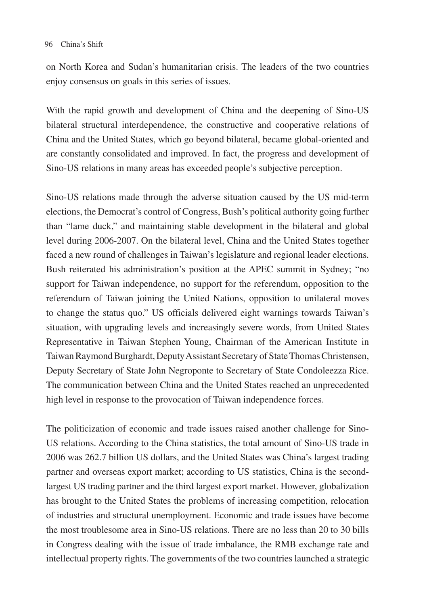on North Korea and Sudan's humanitarian crisis. The leaders of the two countries enjoy consensus on goals in this series of issues.

With the rapid growth and development of China and the deepening of Sino-US bilateral structural interdependence, the constructive and cooperative relations of China and the United States, which go beyond bilateral, became global-oriented and are constantly consolidated and improved. In fact, the progress and development of Sino-US relations in many areas has exceeded people's subjective perception.

Sino-US relations made through the adverse situation caused by the US mid-term elections, the Democrat's control of Congress, Bush's political authority going further than "lame duck," and maintaining stable development in the bilateral and global level during 2006-2007. On the bilateral level, China and the United States together faced a new round of challenges in Taiwan's legislature and regional leader elections. Bush reiterated his administration's position at the APEC summit in Sydney; "no support for Taiwan independence, no support for the referendum, opposition to the referendum of Taiwan joining the United Nations, opposition to unilateral moves to change the status quo." US officials delivered eight warnings towards Taiwan's situation, with upgrading levels and increasingly severe words, from United States Representative in Taiwan Stephen Young, Chairman of the American Institute in Taiwan Raymond Burghardt, Deputy Assistant Secretary of State Thomas Christensen, Deputy Secretary of State John Negroponte to Secretary of State Condoleezza Rice. The communication between China and the United States reached an unprecedented high level in response to the provocation of Taiwan independence forces.

The politicization of economic and trade issues raised another challenge for Sino-US relations. According to the China statistics, the total amount of Sino-US trade in 2006 was 262.7 billion US dollars, and the United States was China's largest trading partner and overseas export market; according to US statistics, China is the secondlargest US trading partner and the third largest export market. However, globalization has brought to the United States the problems of increasing competition, relocation of industries and structural unemployment. Economic and trade issues have become the most troublesome area in Sino-US relations. There are no less than 20 to 30 bills in Congress dealing with the issue of trade imbalance, the RMB exchange rate and intellectual property rights. The governments of the two countries launched a strategic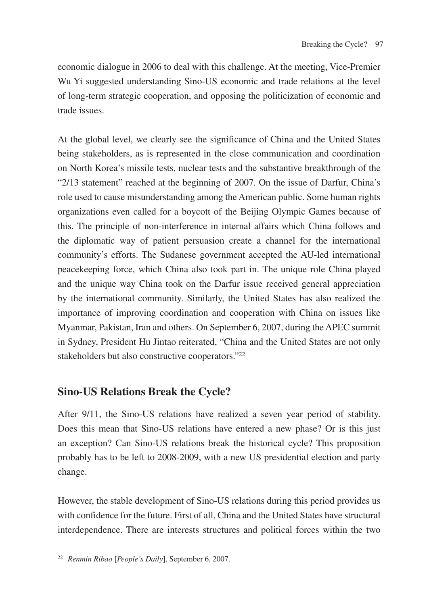economic dialogue in 2006 to deal with this challenge. At the meeting, Vice-Premier Wu Yi suggested understanding Sino-US economic and trade relations at the level of long-term strategic cooperation, and opposing the politicization of economic and trade issues.

At the global level, we clearly see the significance of China and the United States being stakeholders, as is represented in the close communication and coordination on North Korea's missile tests, nuclear tests and the substantive breakthrough of the "2/13 statement" reached at the beginning of 2007. On the issue of Darfur, China's role used to cause misunderstanding among the American public. Some human rights organizations even called for a boycott of the Beijing Olympic Games because of this. The principle of non-interference in internal affairs which China follows and the diplomatic way of patient persuasion create a channel for the international community's efforts. The Sudanese government accepted the AU-led international peacekeeping force, which China also took part in. The unique role China played and the unique way China took on the Darfur issue received general appreciation by the international community. Similarly, the United States has also realized the importance of improving coordination and cooperation with China on issues like Myanmar, Pakistan, Iran and others. On September 6, 2007, during the APEC summit in Sydney, President Hu Jintao reiterated, "China and the United States are not only stakeholders but also constructive cooperators."22

# **Sino-US Relations Break the Cycle?**

After 9/11, the Sino-US relations have realized a seven year period of stability. Does this mean that Sino-US relations have entered a new phase? Or is this just an exception? Can Sino-US relations break the historical cycle? This proposition probably has to be left to 2008-2009, with a new US presidential election and party change.

However, the stable development of Sino-US relations during this period provides us with confidence for the future. First of all, China and the United States have structural interdependence. There are interests structures and political forces within the two

<sup>22</sup> *Renmin Ribao* [*People's Daily*], September 6, 2007.